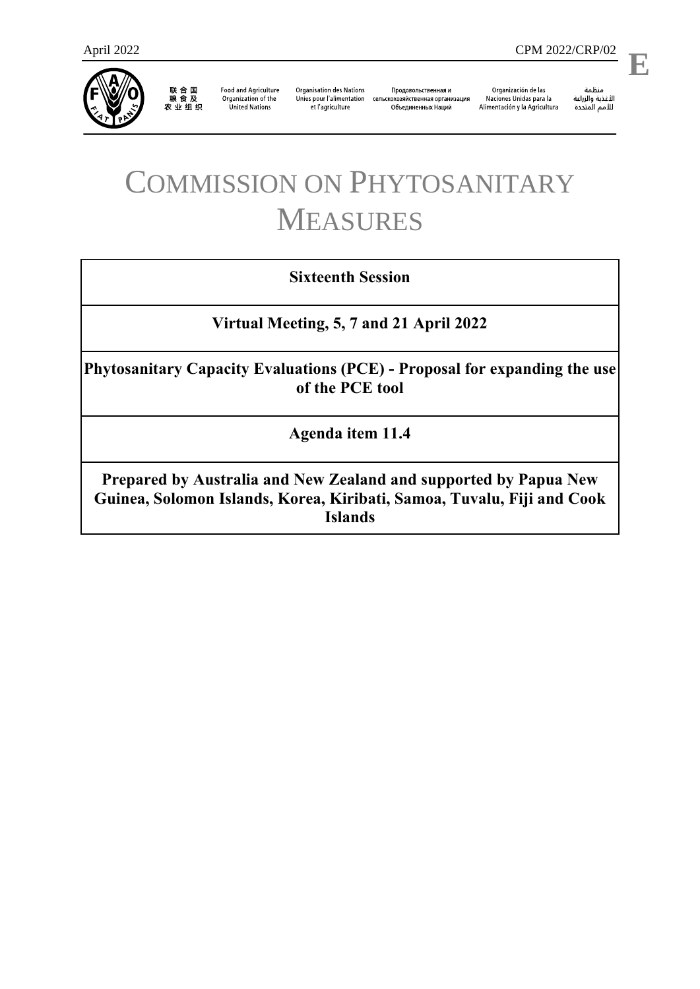

联合国<br>粮食及<br>农业组织

**Food and Agriculture** Organization of the **United Nations** 

**Organisation des Nations** et l'agriculture

Продовольственная и Unies pour l'alimentation сельскохозяйственная организация Объединенных Наций

Organización de las Naciones Unidas para la Alimentación y la Agricultura

ستنسه<br>الأغذية والزراعة<br>للأمم المتددة

l,

# COMMISSION ON PHYTOSANITARY MEASURES

## **Sixteenth Session**

### **Virtual Meeting, 5, 7 and 21 April 2022**

**Phytosanitary Capacity Evaluations (PCE) - Proposal for expanding the use of the PCE tool**

**Agenda item 11.4**

**Prepared by Australia and New Zealand and supported by Papua New Guinea, Solomon Islands, Korea, Kiribati, Samoa, Tuvalu, Fiji and Cook Islands**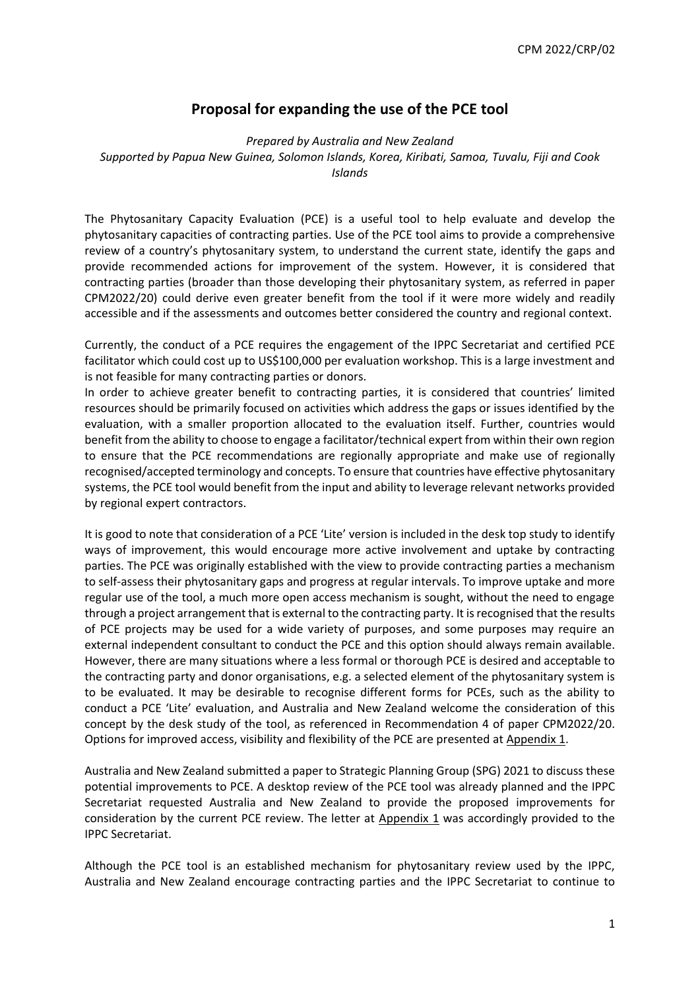#### **Proposal for expanding the use of the PCE tool**

*Prepared by Australia and New Zealand Supported by Papua New Guinea, Solomon Islands, Korea, Kiribati, Samoa, Tuvalu, Fiji and Cook Islands* 

The Phytosanitary Capacity Evaluation (PCE) is a useful tool to help evaluate and develop the phytosanitary capacities of contracting parties. Use of the PCE tool aims to provide a comprehensive review of a country's phytosanitary system, to understand the current state, identify the gaps and provide recommended actions for improvement of the system. However, it is considered that contracting parties (broader than those developing their phytosanitary system, as referred in paper CPM2022/20) could derive even greater benefit from the tool if it were more widely and readily accessible and if the assessments and outcomes better considered the country and regional context.

Currently, the conduct of a PCE requires the engagement of the IPPC Secretariat and certified PCE facilitator which could cost up to US\$100,000 per evaluation workshop. This is a large investment and is not feasible for many contracting parties or donors.

In order to achieve greater benefit to contracting parties, it is considered that countries' limited resources should be primarily focused on activities which address the gaps or issues identified by the evaluation, with a smaller proportion allocated to the evaluation itself. Further, countries would benefit from the ability to choose to engage a facilitator/technical expert from within their own region to ensure that the PCE recommendations are regionally appropriate and make use of regionally recognised/accepted terminology and concepts. To ensure that countries have effective phytosanitary systems, the PCE tool would benefit from the input and ability to leverage relevant networks provided by regional expert contractors.

It is good to note that consideration of a PCE 'Lite' version is included in the desk top study to identify ways of improvement, this would encourage more active involvement and uptake by contracting parties. The PCE was originally established with the view to provide contracting parties a mechanism to self-assess their phytosanitary gaps and progress at regular intervals. To improve uptake and more regular use of the tool, a much more open access mechanism is sought, without the need to engage through a project arrangement that is external to the contracting party. It is recognised that the results of PCE projects may be used for a wide variety of purposes, and some purposes may require an external independent consultant to conduct the PCE and this option should always remain available. However, there are many situations where a less formal or thorough PCE is desired and acceptable to the contracting party and donor organisations, e.g. a selected element of the phytosanitary system is to be evaluated. It may be desirable to recognise different forms for PCEs, such as the ability to conduct a PCE 'Lite' evaluation, and Australia and New Zealand welcome the consideration of this concept by the desk study of the tool, as referenced in Recommendation 4 of paper CPM2022/20. Options for improved access, visibility and flexibility of the PCE are presented at Appendix 1.

Australia and New Zealand submitted a paper to Strategic Planning Group (SPG) 2021 to discuss these potential improvements to PCE. A desktop review of the PCE tool was already planned and the IPPC Secretariat requested Australia and New Zealand to provide the proposed improvements for consideration by the current PCE review. The letter at Appendix 1 was accordingly provided to the IPPC Secretariat.

Although the PCE tool is an established mechanism for phytosanitary review used by the IPPC, Australia and New Zealand encourage contracting parties and the IPPC Secretariat to continue to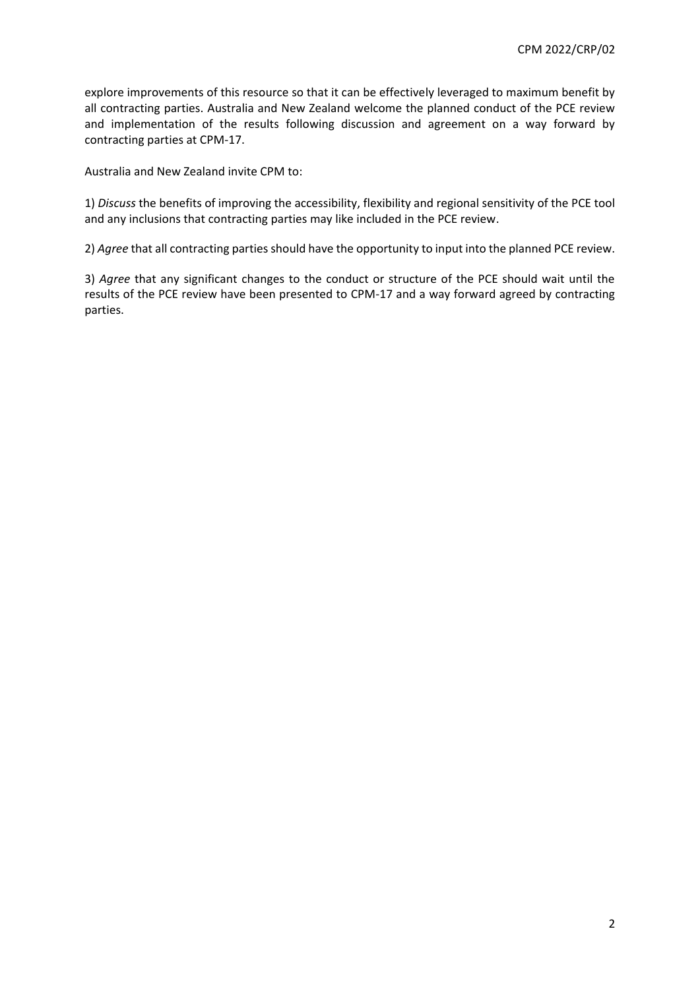explore improvements of this resource so that it can be effectively leveraged to maximum benefit by all contracting parties. Australia and New Zealand welcome the planned conduct of the PCE review and implementation of the results following discussion and agreement on a way forward by contracting parties at CPM-17.

Australia and New Zealand invite CPM to:

1) *Discuss* the benefits of improving the accessibility, flexibility and regional sensitivity of the PCE tool and any inclusions that contracting parties may like included in the PCE review.

2) *Agree* that all contracting parties should have the opportunity to input into the planned PCE review.

3) *Agree* that any significant changes to the conduct or structure of the PCE should wait until the results of the PCE review have been presented to CPM-17 and a way forward agreed by contracting parties.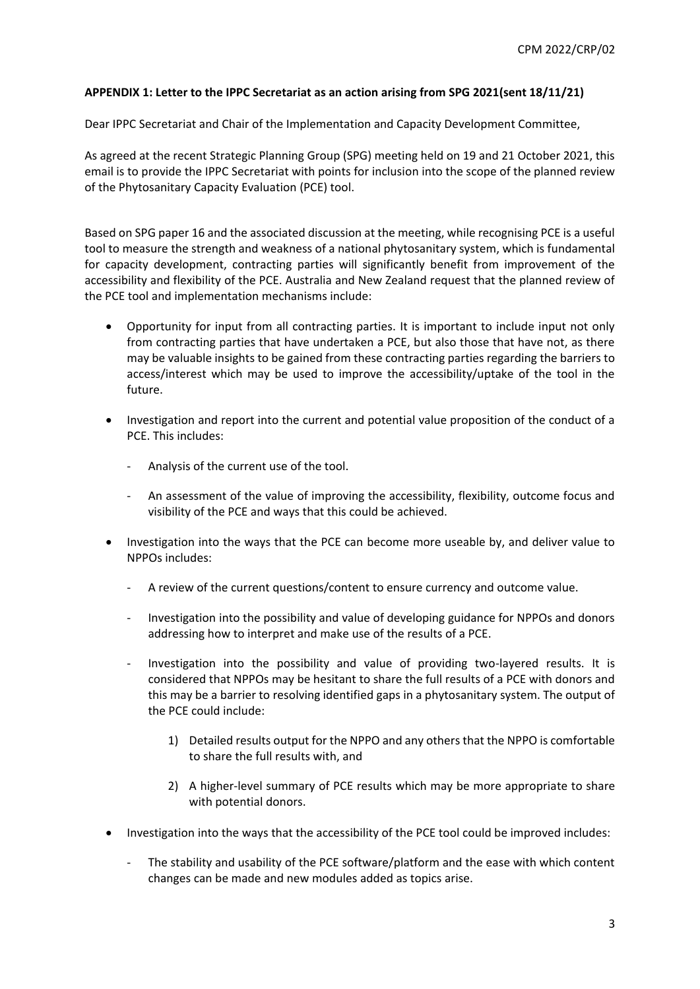#### **APPENDIX 1: Letter to the IPPC Secretariat as an action arising from SPG 2021(sent 18/11/21)**

Dear IPPC Secretariat and Chair of the Implementation and Capacity Development Committee,

As agreed at the recent Strategic Planning Group (SPG) meeting held on 19 and 21 October 2021, this email is to provide the IPPC Secretariat with points for inclusion into the scope of the planned review of the Phytosanitary Capacity Evaluation (PCE) tool.

Based on SPG paper 16 and the associated discussion at the meeting, while recognising PCE is a useful tool to measure the strength and weakness of a national phytosanitary system, which is fundamental for capacity development, contracting parties will significantly benefit from improvement of the accessibility and flexibility of the PCE. Australia and New Zealand request that the planned review of the PCE tool and implementation mechanisms include:

- Opportunity for input from all contracting parties. It is important to include input not only from contracting parties that have undertaken a PCE, but also those that have not, as there may be valuable insights to be gained from these contracting parties regarding the barriers to access/interest which may be used to improve the accessibility/uptake of the tool in the future.
- Investigation and report into the current and potential value proposition of the conduct of a PCE. This includes:
	- Analysis of the current use of the tool.
	- An assessment of the value of improving the accessibility, flexibility, outcome focus and visibility of the PCE and ways that this could be achieved.
- Investigation into the ways that the PCE can become more useable by, and deliver value to NPPOs includes:
	- A review of the current questions/content to ensure currency and outcome value.
	- Investigation into the possibility and value of developing guidance for NPPOs and donors addressing how to interpret and make use of the results of a PCE.
	- Investigation into the possibility and value of providing two-layered results. It is considered that NPPOs may be hesitant to share the full results of a PCE with donors and this may be a barrier to resolving identified gaps in a phytosanitary system. The output of the PCE could include:
		- 1) Detailed results output for the NPPO and any others that the NPPO is comfortable to share the full results with, and
		- 2) A higher-level summary of PCE results which may be more appropriate to share with potential donors.
- Investigation into the ways that the accessibility of the PCE tool could be improved includes:
	- The stability and usability of the PCE software/platform and the ease with which content changes can be made and new modules added as topics arise.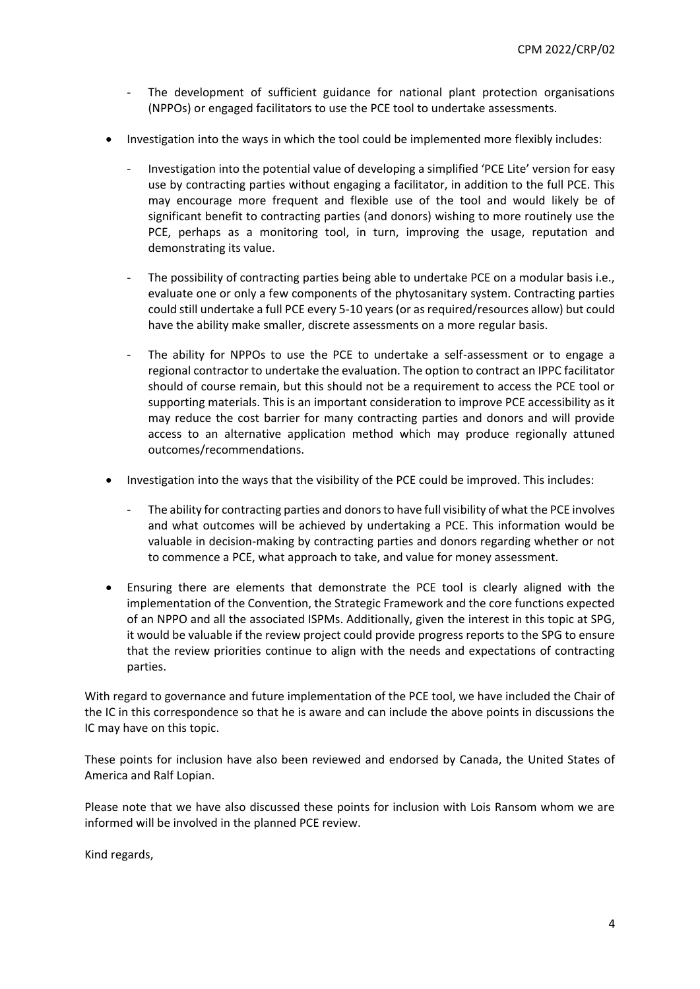- The development of sufficient guidance for national plant protection organisations (NPPOs) or engaged facilitators to use the PCE tool to undertake assessments.
- Investigation into the ways in which the tool could be implemented more flexibly includes:
	- Investigation into the potential value of developing a simplified 'PCE Lite' version for easy use by contracting parties without engaging a facilitator, in addition to the full PCE. This may encourage more frequent and flexible use of the tool and would likely be of significant benefit to contracting parties (and donors) wishing to more routinely use the PCE, perhaps as a monitoring tool, in turn, improving the usage, reputation and demonstrating its value.
	- The possibility of contracting parties being able to undertake PCE on a modular basis i.e., evaluate one or only a few components of the phytosanitary system. Contracting parties could still undertake a full PCE every 5-10 years (or as required/resources allow) but could have the ability make smaller, discrete assessments on a more regular basis.
	- The ability for NPPOs to use the PCE to undertake a self-assessment or to engage a regional contractor to undertake the evaluation. The option to contract an IPPC facilitator should of course remain, but this should not be a requirement to access the PCE tool or supporting materials. This is an important consideration to improve PCE accessibility as it may reduce the cost barrier for many contracting parties and donors and will provide access to an alternative application method which may produce regionally attuned outcomes/recommendations.
- Investigation into the ways that the visibility of the PCE could be improved. This includes:
	- The ability for contracting parties and donors to have full visibility of what the PCE involves and what outcomes will be achieved by undertaking a PCE. This information would be valuable in decision-making by contracting parties and donors regarding whether or not to commence a PCE, what approach to take, and value for money assessment.
- Ensuring there are elements that demonstrate the PCE tool is clearly aligned with the implementation of the Convention, the Strategic Framework and the core functions expected of an NPPO and all the associated ISPMs. Additionally, given the interest in this topic at SPG, it would be valuable if the review project could provide progress reports to the SPG to ensure that the review priorities continue to align with the needs and expectations of contracting parties.

With regard to governance and future implementation of the PCE tool, we have included the Chair of the IC in this correspondence so that he is aware and can include the above points in discussions the IC may have on this topic.

These points for inclusion have also been reviewed and endorsed by Canada, the United States of America and Ralf Lopian.

Please note that we have also discussed these points for inclusion with Lois Ransom whom we are informed will be involved in the planned PCE review.

Kind regards,